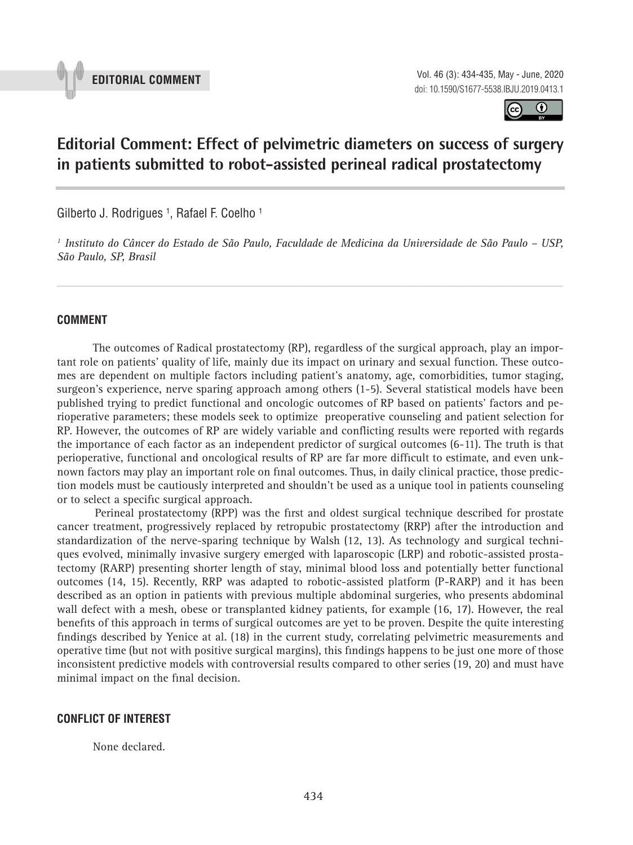

**EDITORIAL COMMENT** Vol. 46 (3): 434-435, May - June, 2020 doi: 10.1590/S1677-5538.IBJU.2019.0413.1



# **Editorial Comment: Effect of pelvimetric diameters on success of surgery in patients submitted to robot-assisted perineal radical prostatectomy 1. processe community to the model permitting community**

Gilberto J. Rodrigues <sup>1</sup>, Rafael F. Coelho <sup>1</sup>

*1 Instituto do Câncer do Estado de São Paulo, Faculdade de Medicina da Universidade de São Paulo – USP, São Paulo, SP, Brasil*

*\_\_\_\_\_\_\_\_\_\_\_\_\_\_\_\_\_\_\_\_\_\_\_\_\_\_\_\_\_\_\_\_\_\_\_\_\_\_\_\_\_\_\_\_\_\_\_\_\_\_\_\_\_\_\_\_\_\_\_\_\_\_\_\_\_\_\_\_\_\_\_\_\_\_\_\_\_\_\_\_\_\_\_\_\_\_\_*

### **COMMENT**

The outcomes of Radical prostatectomy (RP), regardless of the surgical approach, play an important role on patients' quality of life, mainly due its impact on urinary and sexual function. These outcomes are dependent on multiple factors including patient's anatomy, age, comorbidities, tumor staging, surgeon's experience, nerve sparing approach among others (1-5). Several statistical models have been published trying to predict functional and oncologic outcomes of RP based on patients' factors and perioperative parameters; these models seek to optimize preoperative counseling and patient selection for RP. However, the outcomes of RP are widely variable and conflicting results were reported with regards the importance of each factor as an independent predictor of surgical outcomes (6-11). The truth is that perioperative, functional and oncological results of RP are far more difficult to estimate, and even unknown factors may play an important role on final outcomes. Thus, in daily clinical practice, those prediction models must be cautiously interpreted and shouldn't be used as a unique tool in patients counseling or to select a specific surgical approach.

Perineal prostatectomy (RPP) was the first and oldest surgical technique described for prostate cancer treatment, progressively replaced by retropubic prostatectomy (RRP) after the introduction and standardization of the nerve-sparing technique by Walsh (12, 13). As technology and surgical techniques evolved, minimally invasive surgery emerged with laparoscopic (LRP) and robotic-assisted prostatectomy (RARP) presenting shorter length of stay, minimal blood loss and potentially better functional outcomes (14, 15). Recently, RRP was adapted to robotic-assisted platform (P-RARP) and it has been described as an option in patients with previous multiple abdominal surgeries, who presents abdominal wall defect with a mesh, obese or transplanted kidney patients, for example (16, 17). However, the real benefits of this approach in terms of surgical outcomes are yet to be proven. Despite the quite interesting findings described by Yenice at al. (18) in the current study, correlating pelvimetric measurements and operative time (but not with positive surgical margins), this findings happens to be just one more of those inconsistent predictive models with controversial results compared to other series (19, 20) and must have minimal impact on the final decision.

#### **CONFLICT OF INTEREST**

None declared.